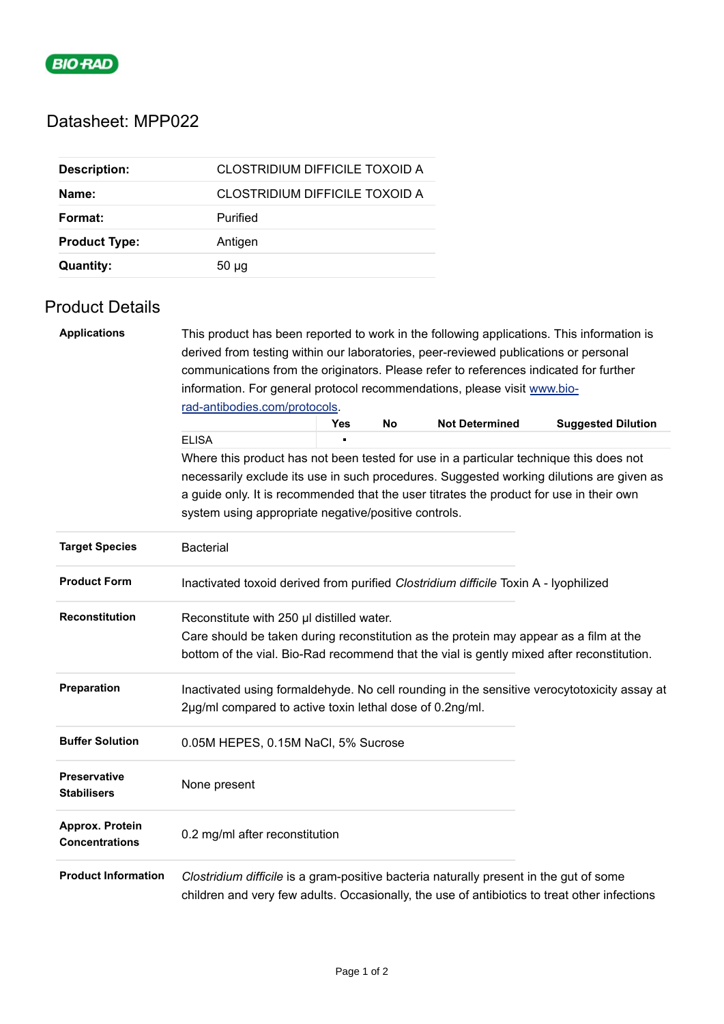

## Datasheet: MPP022

| <b>Description:</b>  | CLOSTRIDIUM DIFFICILE TOXOID A        |
|----------------------|---------------------------------------|
| Name:                | <b>CLOSTRIDIUM DIFFICILE TOXOID A</b> |
| Format:              | Purified                              |
| <b>Product Type:</b> | Antigen                               |
| <b>Quantity:</b>     | $50 \mu q$                            |

## Product Details

| <b>Applications</b>                       | This product has been reported to work in the following applications. This information is<br>derived from testing within our laboratories, peer-reviewed publications or personal      |                                                                                           |    |                       |                           |  |  |
|-------------------------------------------|----------------------------------------------------------------------------------------------------------------------------------------------------------------------------------------|-------------------------------------------------------------------------------------------|----|-----------------------|---------------------------|--|--|
|                                           | communications from the originators. Please refer to references indicated for further                                                                                                  |                                                                                           |    |                       |                           |  |  |
|                                           | information. For general protocol recommendations, please visit www.bio-<br>rad-antibodies.com/protocols.                                                                              |                                                                                           |    |                       |                           |  |  |
|                                           |                                                                                                                                                                                        |                                                                                           |    |                       |                           |  |  |
|                                           |                                                                                                                                                                                        | <b>Yes</b>                                                                                | No | <b>Not Determined</b> | <b>Suggested Dilution</b> |  |  |
|                                           | <b>ELISA</b>                                                                                                                                                                           |                                                                                           |    |                       |                           |  |  |
|                                           | Where this product has not been tested for use in a particular technique this does not                                                                                                 |                                                                                           |    |                       |                           |  |  |
|                                           | necessarily exclude its use in such procedures. Suggested working dilutions are given as                                                                                               |                                                                                           |    |                       |                           |  |  |
|                                           | a guide only. It is recommended that the user titrates the product for use in their own                                                                                                |                                                                                           |    |                       |                           |  |  |
|                                           |                                                                                                                                                                                        | system using appropriate negative/positive controls.                                      |    |                       |                           |  |  |
| <b>Target Species</b>                     | <b>Bacterial</b>                                                                                                                                                                       |                                                                                           |    |                       |                           |  |  |
| <b>Product Form</b>                       | Inactivated toxoid derived from purified Clostridium difficile Toxin A - lyophilized                                                                                                   |                                                                                           |    |                       |                           |  |  |
| <b>Reconstitution</b>                     | Reconstitute with 250 µl distilled water.                                                                                                                                              |                                                                                           |    |                       |                           |  |  |
|                                           | Care should be taken during reconstitution as the protein may appear as a film at the                                                                                                  |                                                                                           |    |                       |                           |  |  |
|                                           |                                                                                                                                                                                        | bottom of the vial. Bio-Rad recommend that the vial is gently mixed after reconstitution. |    |                       |                           |  |  |
| Preparation                               | Inactivated using formaldehyde. No cell rounding in the sensitive verocytotoxicity assay at                                                                                            |                                                                                           |    |                       |                           |  |  |
|                                           | 2µg/ml compared to active toxin lethal dose of 0.2ng/ml.                                                                                                                               |                                                                                           |    |                       |                           |  |  |
| <b>Buffer Solution</b>                    | 0.05M HEPES, 0.15M NaCl, 5% Sucrose                                                                                                                                                    |                                                                                           |    |                       |                           |  |  |
| <b>Preservative</b><br><b>Stabilisers</b> | None present                                                                                                                                                                           |                                                                                           |    |                       |                           |  |  |
|                                           |                                                                                                                                                                                        |                                                                                           |    |                       |                           |  |  |
| Approx. Protein<br><b>Concentrations</b>  | 0.2 mg/ml after reconstitution                                                                                                                                                         |                                                                                           |    |                       |                           |  |  |
| <b>Product Information</b>                | Clostridium difficile is a gram-positive bacteria naturally present in the gut of some<br>children and very few adults. Occasionally, the use of antibiotics to treat other infections |                                                                                           |    |                       |                           |  |  |